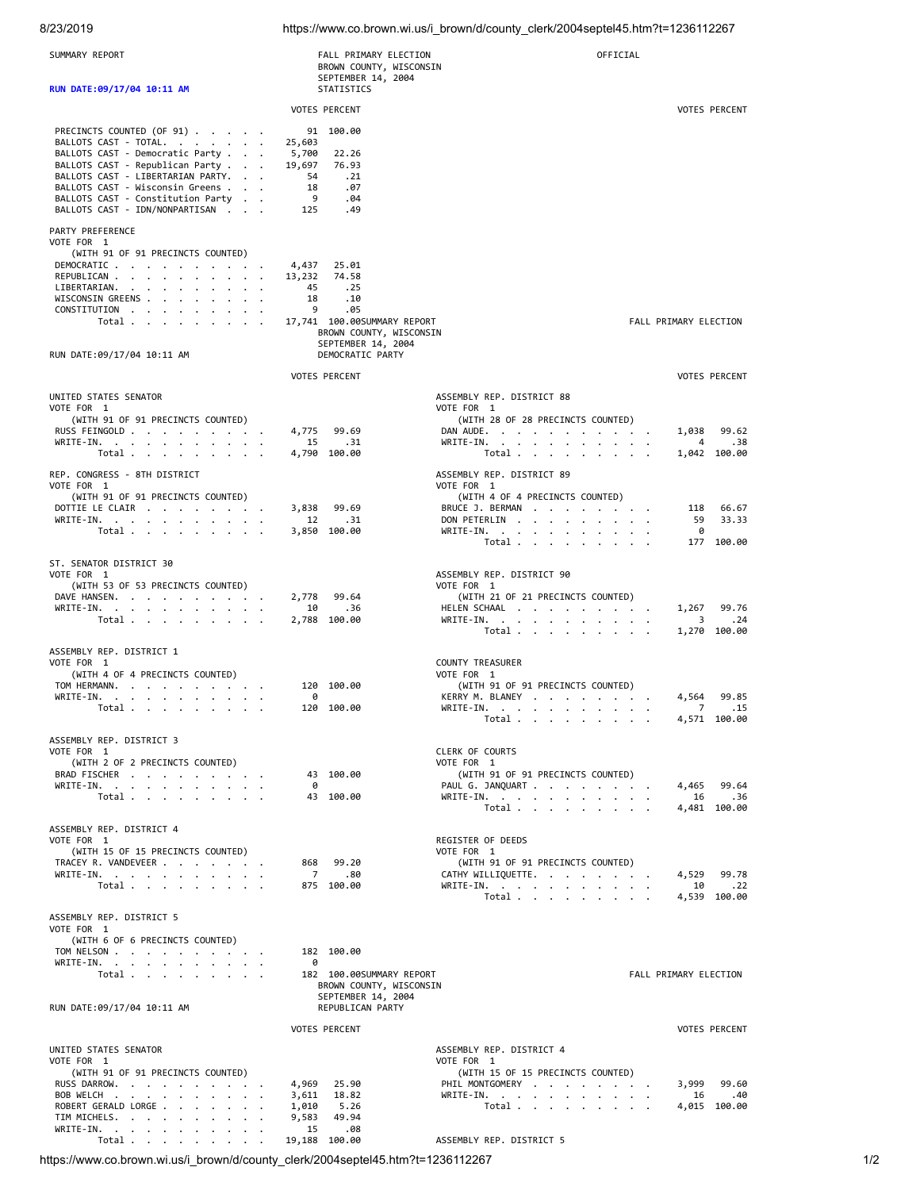## 8/23/2019 https://www.co.brown.wi.us/i\_brown/d/county\_clerk/2004septel45.htm?t=1236112267

| SUMMARY REPORT                                                                                                                                                                                                                                                          | FALL PRIMARY ELECTION<br>BROWN COUNTY, WISCONSIN                                                                                                                             | OFFICIAL                                                                                                                                         |                                                         |
|-------------------------------------------------------------------------------------------------------------------------------------------------------------------------------------------------------------------------------------------------------------------------|------------------------------------------------------------------------------------------------------------------------------------------------------------------------------|--------------------------------------------------------------------------------------------------------------------------------------------------|---------------------------------------------------------|
| RUN DATE: 09/17/04 10:11 AM                                                                                                                                                                                                                                             | SEPTEMBER 14, 2004<br>STATISTICS                                                                                                                                             |                                                                                                                                                  |                                                         |
|                                                                                                                                                                                                                                                                         | <b>VOTES PERCENT</b>                                                                                                                                                         |                                                                                                                                                  | <b>VOTES PERCENT</b>                                    |
| PRECINCTS COUNTED (OF 91)<br>BALLOTS CAST - TOTAL.<br>BALLOTS CAST - Democratic Party<br>BALLOTS CAST - Republican Party<br>BALLOTS CAST - LIBERTARIAN PARTY.<br>BALLOTS CAST - Wisconsin Greens<br>BALLOTS CAST - Constitution Party<br>BALLOTS CAST - IDN/NONPARTISAN | 91 100.00<br>25,603<br>5,700<br>22.26<br>19,697<br>76.93<br>54<br>.21<br>18<br>.07<br>- 9<br>.04<br>.49<br>125                                                               |                                                                                                                                                  |                                                         |
| PARTY PREFERENCE                                                                                                                                                                                                                                                        |                                                                                                                                                                              |                                                                                                                                                  |                                                         |
| VOTE FOR 1<br>(WITH 91 OF 91 PRECINCTS COUNTED)<br>DEMOCRATIC<br>REPUBLICAN<br>LIBERTARIAN.<br>WISCONSIN GREENS<br>CONSTITUTION<br>Total<br>$\ddot{\phantom{0}}$<br>RUN DATE:09/17/04 10:11 AM                                                                          | 4,437<br>25.01<br>13,232<br>74.58<br>.25<br>45<br>18<br>.10<br>9<br>.05<br>17,741  100.00SUMMARY REPORT<br>BROWN COUNTY, WISCONSIN<br>SEPTEMBER 14, 2004<br>DEMOCRATIC PARTY |                                                                                                                                                  | FALL PRIMARY ELECTION                                   |
|                                                                                                                                                                                                                                                                         | VOTES PERCENT                                                                                                                                                                |                                                                                                                                                  | <b>VOTES PERCENT</b>                                    |
| UNITED STATES SENATOR<br>VOTE FOR 1<br>(WITH 91 OF 91 PRECINCTS COUNTED)<br>RUSS FEINGOLD<br>WRITE-IN.                                                                                                                                                                  | 4,775<br>99.69<br>15<br>.31                                                                                                                                                  | ASSEMBLY REP. DISTRICT 88<br>VOTE FOR 1<br>(WITH 28 OF 28 PRECINCTS COUNTED)<br>DAN AUDE.<br>WRITE-IN.                                           | 1,038<br>99.62<br>.38<br>4                              |
| Total                                                                                                                                                                                                                                                                   | 4,790 100.00                                                                                                                                                                 | Total                                                                                                                                            | 1,042 100.00                                            |
| REP. CONGRESS - 8TH DISTRICT<br>VOTE FOR 1<br>(WITH 91 OF 91 PRECINCTS COUNTED)<br>DOTTIE LE CLAIR<br>WRITE-IN.<br>Total $\cdots$ $\cdots$ $\cdots$                                                                                                                     | 3,838<br>99.69<br>12<br>.31<br>3,850 100.00                                                                                                                                  | ASSEMBLY REP. DISTRICT 89<br>VOTE FOR 1<br>(WITH 4 OF 4 PRECINCTS COUNTED)<br>BRUCE J. BERMAN<br>DON PETERLIN<br>$\cdot$<br>WRITE-IN.            | 66.67<br>118<br>33.33<br>59<br>0                        |
|                                                                                                                                                                                                                                                                         |                                                                                                                                                                              | Total                                                                                                                                            | 177 100.00                                              |
| ST. SENATOR DISTRICT 30<br>VOTE FOR 1<br>(WITH 53 OF 53 PRECINCTS COUNTED)<br>DAVE HANSEN.<br>WRITE-IN.<br>Total $\cdots$ $\cdots$                                                                                                                                      | 99.64<br>2,778<br>10<br>.36<br>2,788 100.00                                                                                                                                  | ASSEMBLY REP. DISTRICT 90<br>VOTE FOR 1<br>(WITH 21 OF 21 PRECINCTS COUNTED)<br>HELEN SCHAAL<br>WRITE-IN.<br>Total $\cdots$ $\cdots$ $\cdots$    | 99.76<br>1,267<br>3<br>.24<br>1,270 100.00              |
| ASSEMBLY REP. DISTRICT 1<br>VOTE FOR 1<br>(WITH 4 OF 4 PRECINCTS COUNTED)<br>TOM HERMANN.<br>WRITE-IN.<br>Total<br>$\bullet$                                                                                                                                            | 120 100.00<br>0<br>120 100.00                                                                                                                                                | <b>COUNTY TREASURER</b><br>VOTE FOR 1<br>(WITH 91 OF 91 PRECINCTS COUNTED)<br>KERRY M. BLANEY<br>WRITE-IN.<br>Total $\cdots$ $\cdots$ $\cdots$   | 99.85<br>4,564<br>$\overline{7}$<br>.15<br>4,571 100.00 |
| ASSEMBLY REP. DISTRICT 3<br>VOTE FOR 1<br>(WITH 2 OF 2 PRECINCTS COUNTED)<br>BRAD FISCHER<br>WRITE-IN.<br>Total                                                                                                                                                         | 43 100.00<br>0<br>43 100.00                                                                                                                                                  | CLERK OF COURTS<br>VOTE FOR 1<br>(WITH 91 OF 91 PRECINCTS COUNTED)<br>PAUL G. JANQUART<br>WRITE-IN.<br>Total                                     | 4,465 99.64<br>16<br>.36<br>4,481 100.00                |
| ASSEMBLY REP. DISTRICT 4<br>VOTE FOR 1<br>(WITH 15 OF 15 PRECINCTS COUNTED)<br>TRACEY R. VANDEVEER<br>WRITE-IN.<br>Total                                                                                                                                                | 99.20<br>868<br>7.80<br>875 100.00                                                                                                                                           | REGISTER OF DEEDS<br>VOTE FOR 1<br>(WITH 91 OF 91 PRECINCTS COUNTED)<br>CATHY WILLIQUETTE.<br>WRITE-IN.<br>Total                                 | 4,529<br>99.78<br>.22<br>10<br>4,539 100.00             |
| ASSEMBLY REP. DISTRICT 5<br>VOTE FOR 1<br>(WITH 6 OF 6 PRECINCTS COUNTED)<br>TOM NELSON<br>WRITE-IN.<br>Total                                                                                                                                                           | 182 100.00<br>ø<br>182 100.00SUMMARY REPORT<br>BROWN COUNTY, WISCONSIN                                                                                                       |                                                                                                                                                  | FALL PRIMARY ELECTION                                   |
| RUN DATE:09/17/04 10:11 AM                                                                                                                                                                                                                                              | SEPTEMBER 14, 2004<br>REPUBLICAN PARTY                                                                                                                                       |                                                                                                                                                  |                                                         |
|                                                                                                                                                                                                                                                                         | <b>VOTES PERCENT</b>                                                                                                                                                         |                                                                                                                                                  | <b>VOTES PERCENT</b>                                    |
| UNITED STATES SENATOR<br>VOTE FOR 1<br>(WITH 91 OF 91 PRECINCTS COUNTED)<br>RUSS DARROW.<br>BOB WELCH<br>ROBERT GERALD LORGE<br>TIM MICHELS.<br>WRITE-IN.<br>Total                                                                                                      | 4,969 25.90<br>18.82<br>3,611<br>1,010<br>5.26<br>9,583<br>49.94<br>.08<br>15<br>19,188 100.00                                                                               | ASSEMBLY REP. DISTRICT 4<br>VOTE FOR 1<br>(WITH 15 OF 15 PRECINCTS COUNTED)<br>PHIL MONTGOMERY<br>WRITE-IN.<br>Total<br>ASSEMBLY REP. DISTRICT 5 | 3,999<br>99.60<br>.40<br>16<br>4,015 100.00             |